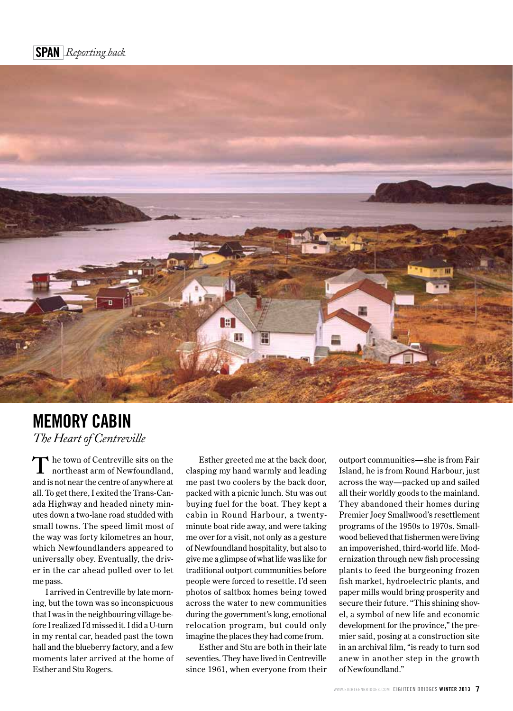

## **MEMORY CABIN** *The Heart of Centreville*

he town of Centreville sits on the northeast arm of Newfoundland, and is not near the centre of anywhere at all. To get there, I exited the Trans-Canada Highway and headed ninety minutes down a two-lane road studded with small towns. The speed limit most of the way was forty kilometres an hour, which Newfoundlanders appeared to universally obey. Eventually, the driver in the car ahead pulled over to let me pass. **T**

I arrived in Centreville by late morning, but the town was so inconspicuous that I was in the neighbouring village before I realized I'd missed it. I did a U-turn in my rental car, headed past the town hall and the blueberry factory, and a few moments later arrived at the home of Esther and Stu Rogers.

Esther greeted me at the back door, clasping my hand warmly and leading me past two coolers by the back door, packed with a picnic lunch. Stu was out buying fuel for the boat. They kept a cabin in Round Harbour, a twentyminute boat ride away, and were taking me over for a visit, not only as a gesture of Newfoundland hospitality, but also to give me a glimpse of what life was like for traditional outport communities before people were forced to resettle. I'd seen photos of saltbox homes being towed across the water to new communities during the government's long, emotional relocation program, but could only imagine the places they had come from.

Esther and Stu are both in their late seventies. They have lived in Centreville since 1961, when everyone from their outport communities—she is from Fair Island, he is from Round Harbour, just across the way—packed up and sailed all their worldly goods to the mainland. They abandoned their homes during Premier Joey Smallwood's resettlement programs of the 1950s to 1970s. Smallwood believed that fishermen were living an impoverished, third-world life. Modernization through new fish processing plants to feed the burgeoning frozen fish market, hydroelectric plants, and paper mills would bring prosperity and secure their future. "This shining shovel, a symbol of new life and economic development for the province," the premier said, posing at a construction site in an archival film, "is ready to turn sod anew in another step in the growth of Newfoundland."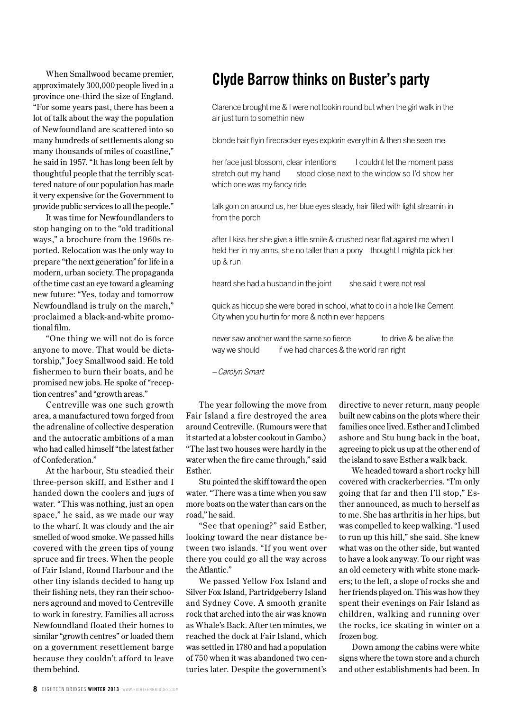When Smallwood became premier, approximately 300,000 people lived in a province one-third the size of England. "For some years past, there has been a lot of talk about the way the population of Newfoundland are scattered into so many hundreds of settlements along so many thousands of miles of coastline," he said in 1957. "It has long been felt by thoughtful people that the terribly scattered nature of our population has made it very expensive for the Government to provide public services to all the people."

It was time for Newfoundlanders to stop hanging on to the "old traditional ways," a brochure from the 1960s reported. Relocation was the only way to prepare "the next generation" for life in a modern, urban society. The propaganda of the time cast an eye toward a gleaming new future: "Yes, today and tomorrow Newfoundland is truly on the march," proclaimed a black-and-white promotional film.

"One thing we will not do is force anyone to move. That would be dictatorship," Joey Smallwood said. He told fishermen to burn their boats, and he promised new jobs. He spoke of "reception centres" and "growth areas."

Centreville was one such growth area, a manufactured town forged from the adrenaline of collective desperation and the autocratic ambitions of a man who had called himself "the latest father of Confederation."

At the harbour, Stu steadied their three-person skiff, and Esther and I handed down the coolers and jugs of water. "This was nothing, just an open space," he said, as we made our way to the wharf. It was cloudy and the air smelled of wood smoke. We passed hills covered with the green tips of young spruce and fir trees. When the people of Fair Island, Round Harbour and the other tiny islands decided to hang up their fishing nets, they ran their schooners aground and moved to Centreville to work in forestry. Families all across Newfoundland floated their homes to similar "growth centres" or loaded them on a government resettlement barge because they couldn't afford to leave them behind.

## **Clyde Barrow thinks on Buster's party**

Clarence brought me & I were not lookin round but when the girl walk in the air just turn to somethin new

blonde hair flyin firecracker eyes explorin everythin & then she seen me

her face just blossom, clear intentions I couldnt let the moment pass stretch out my hand stood close next to the window so I'd show her which one was my fancy ride

talk goin on around us, her blue eyes steady, hair filled with light streamin in from the porch

after I kiss her she give a little smile & crushed near flat against me when I held her in my arms, she no taller than a pony thought I mighta pick her up & run

heard she had a husband in the joint she said it were not real

quick as hiccup she were bored in school, what to do in a hole like Cement City when you hurtin for more & nothin ever happens

never saw another want the same so fierce to drive & be alive the way we should if we had chances & the world ran right

*– Carolyn Smart*

The year following the move from Fair Island a fire destroyed the area around Centreville. (Rumours were that it started at a lobster cookout in Gambo.) "The last two houses were hardly in the water when the fire came through," said Esther.

Stu pointed the skiff toward the open water. "There was a time when you saw more boats on the water than cars on the road," he said.

"See that opening?" said Esther, looking toward the near distance between two islands. "If you went over there you could go all the way across the Atlantic."

We passed Yellow Fox Island and Silver Fox Island, Partridgeberry Island and Sydney Cove. A smooth granite rock that arched into the air was known as Whale's Back. After ten minutes, we reached the dock at Fair Island, which was settled in 1780 and had a population of 750 when it was abandoned two centuries later. Despite the government's directive to never return, many people built new cabins on the plots where their families once lived. Esther and I climbed ashore and Stu hung back in the boat, agreeing to pick us up at the other end of the island to save Esther a walk back.

We headed toward a short rocky hill covered with crackerberries. "I'm only going that far and then I'll stop," Esther announced, as much to herself as to me. She has arthritis in her hips, but was compelled to keep walking. "I used to run up this hill," she said. She knew what was on the other side, but wanted to have a look anyway. To our right was an old cemetery with white stone markers; to the left, a slope of rocks she and her friends played on. This was how they spent their evenings on Fair Island as children, walking and running over the rocks, ice skating in winter on a frozen bog.

Down among the cabins were white signs where the town store and a church and other establishments had been. In